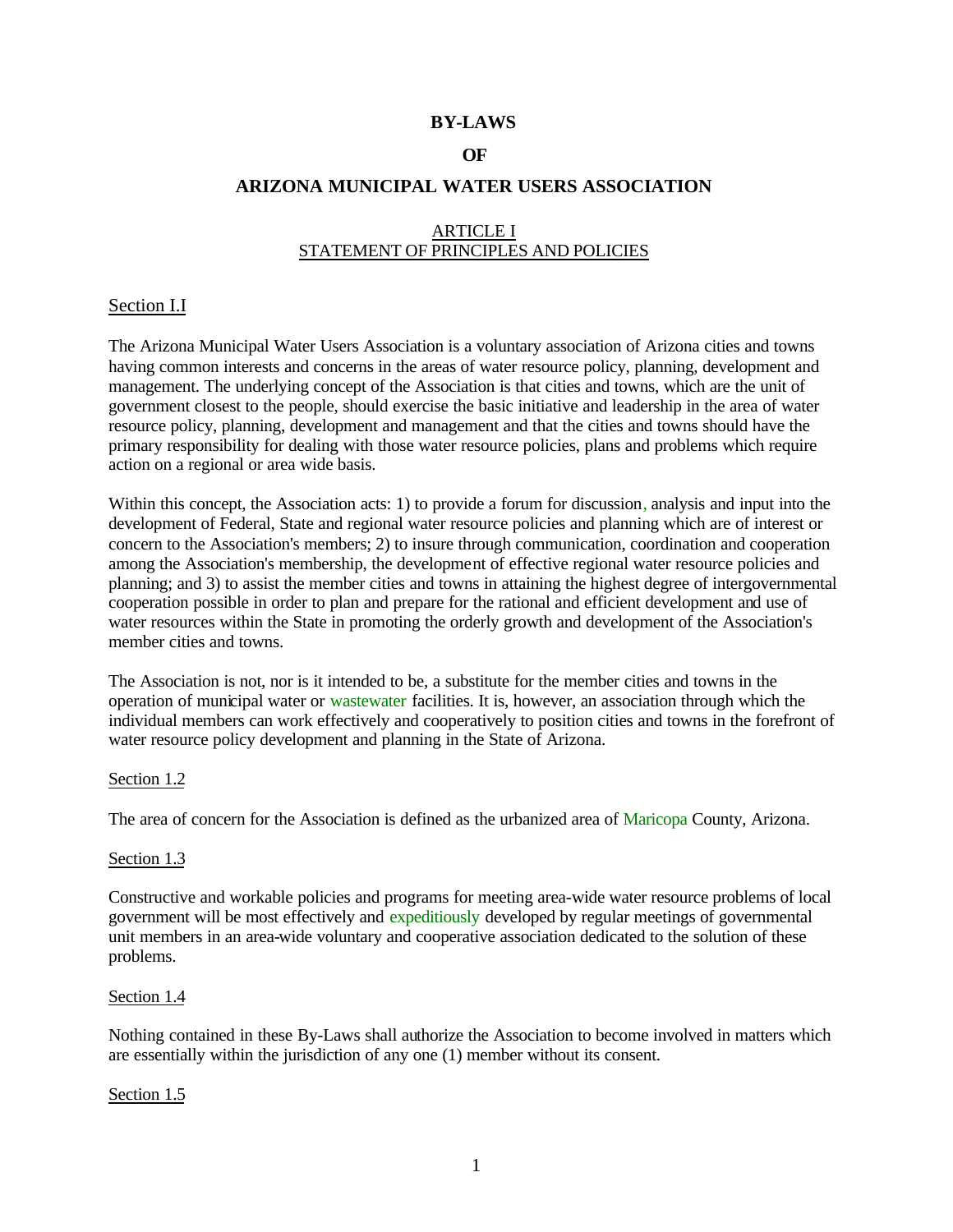## **BY-LAWS**

## **OF**

## **ARIZONA MUNICIPAL WATER USERS ASSOCIATION**

## ARTICLE I STATEMENT OF PRINCIPLES AND POLICIES

### Section I.I

The Arizona Municipal Water Users Association is a voluntary association of Arizona cities and towns having common interests and concerns in the areas of water resource policy, planning, development and management. The underlying concept of the Association is that cities and towns, which are the unit of government closest to the people, should exercise the basic initiative and leadership in the area of water resource policy, planning, development and management and that the cities and towns should have the primary responsibility for dealing with those water resource policies, plans and problems which require action on a regional or area wide basis.

Within this concept, the Association acts: 1) to provide a forum for discussion, analysis and input into the development of Federal, State and regional water resource policies and planning which are of interest or concern to the Association's members; 2) to insure through communication, coordination and cooperation among the Association's membership, the development of effective regional water resource policies and planning; and 3) to assist the member cities and towns in attaining the highest degree of intergovernmental cooperation possible in order to plan and prepare for the rational and efficient development and use of water resources within the State in promoting the orderly growth and development of the Association's member cities and towns.

The Association is not, nor is it intended to be, a substitute for the member cities and towns in the operation of municipal water or wastewater facilities. It is, however, an association through which the individual members can work effectively and cooperatively to position cities and towns in the forefront of water resource policy development and planning in the State of Arizona.

#### Section 1.2

The area of concern for the Association is defined as the urbanized area of Maricopa County, Arizona.

#### Section 1.3

Constructive and workable policies and programs for meeting area-wide water resource problems of local government will be most effectively and expeditiously developed by regular meetings of governmental unit members in an area-wide voluntary and cooperative association dedicated to the solution of these problems.

#### Section 1.4

Nothing contained in these By-Laws shall authorize the Association to become involved in matters which are essentially within the jurisdiction of any one (1) member without its consent.

#### Section 1.5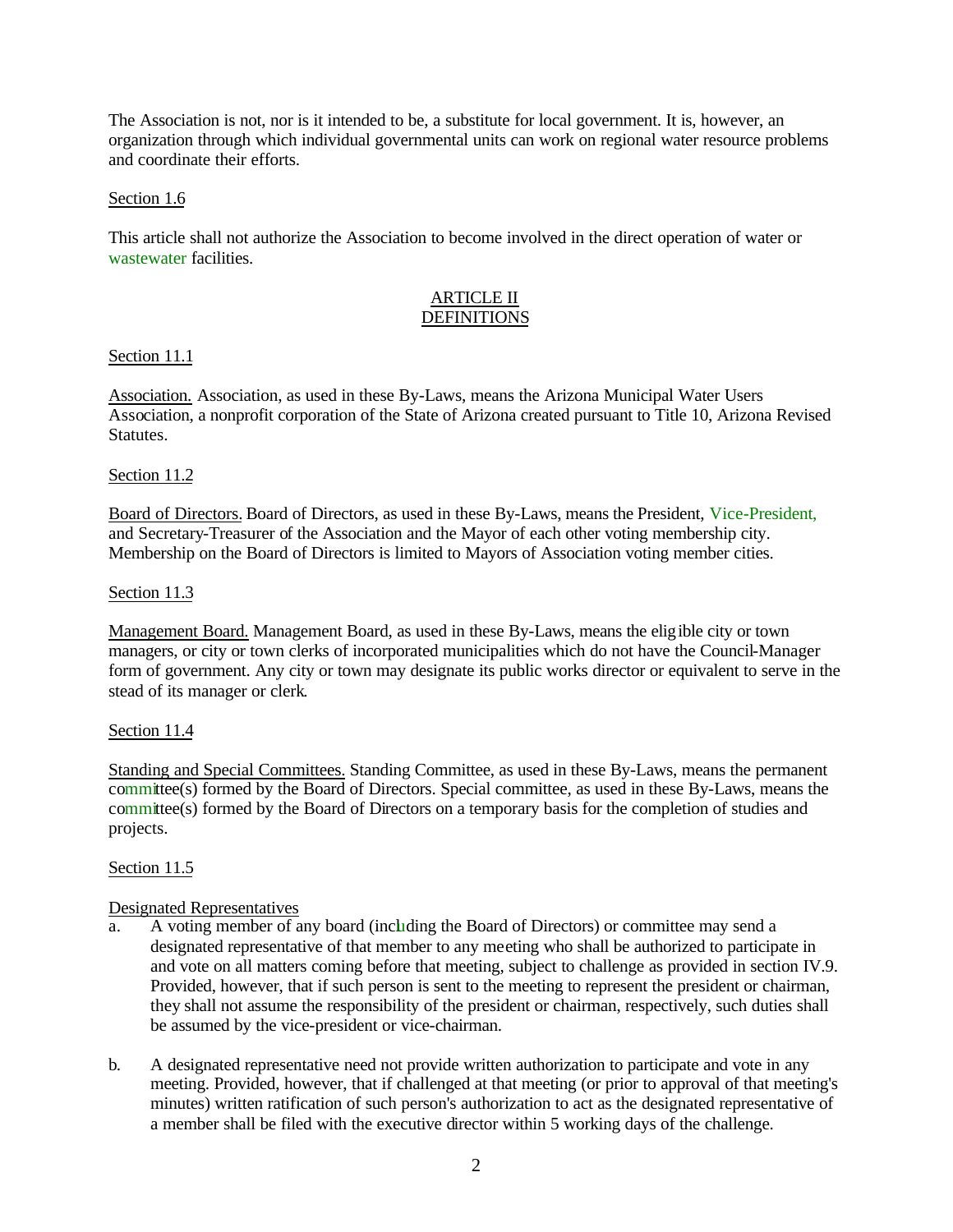The Association is not, nor is it intended to be, a substitute for local government. It is, however, an organization through which individual governmental units can work on regional water resource problems and coordinate their efforts.

### Section 1.6

This article shall not authorize the Association to become involved in the direct operation of water or wastewater facilities.

## ARTICLE II DEFINITIONS

## Section 11.1

Association. Association, as used in these By-Laws, means the Arizona Municipal Water Users Association, a nonprofit corporation of the State of Arizona created pursuant to Title 10, Arizona Revised Statutes.

## Section 11.2

Board of Directors. Board of Directors, as used in these By-Laws, means the President, Vice-President, and Secretary-Treasurer of the Association and the Mayor of each other voting membership city. Membership on the Board of Directors is limited to Mayors of Association voting member cities.

### Section 11.3

Management Board. Management Board, as used in these By-Laws, means the eligible city or town managers, or city or town clerks of incorporated municipalities which do not have the Council-Manager form of government. Any city or town may designate its public works director or equivalent to serve in the stead of its manager or clerk.

## Section 11.4

Standing and Special Committees. Standing Committee, as used in these By-Laws, means the permanent committee(s) formed by the Board of Directors. Special committee, as used in these By-Laws, means the committee(s) formed by the Board of Directors on a temporary basis for the completion of studies and projects.

## Section 11.5

## Designated Representatives

- a. A voting member of any board (including the Board of Directors) or committee may send a designated representative of that member to any meeting who shall be authorized to participate in and vote on all matters coming before that meeting, subject to challenge as provided in section IV.9. Provided, however, that if such person is sent to the meeting to represent the president or chairman, they shall not assume the responsibility of the president or chairman, respectively, such duties shall be assumed by the vice-president or vice-chairman.
- b. A designated representative need not provide written authorization to participate and vote in any meeting. Provided, however, that if challenged at that meeting (or prior to approval of that meeting's minutes) written ratification of such person's authorization to act as the designated representative of a member shall be filed with the executive director within 5 working days of the challenge.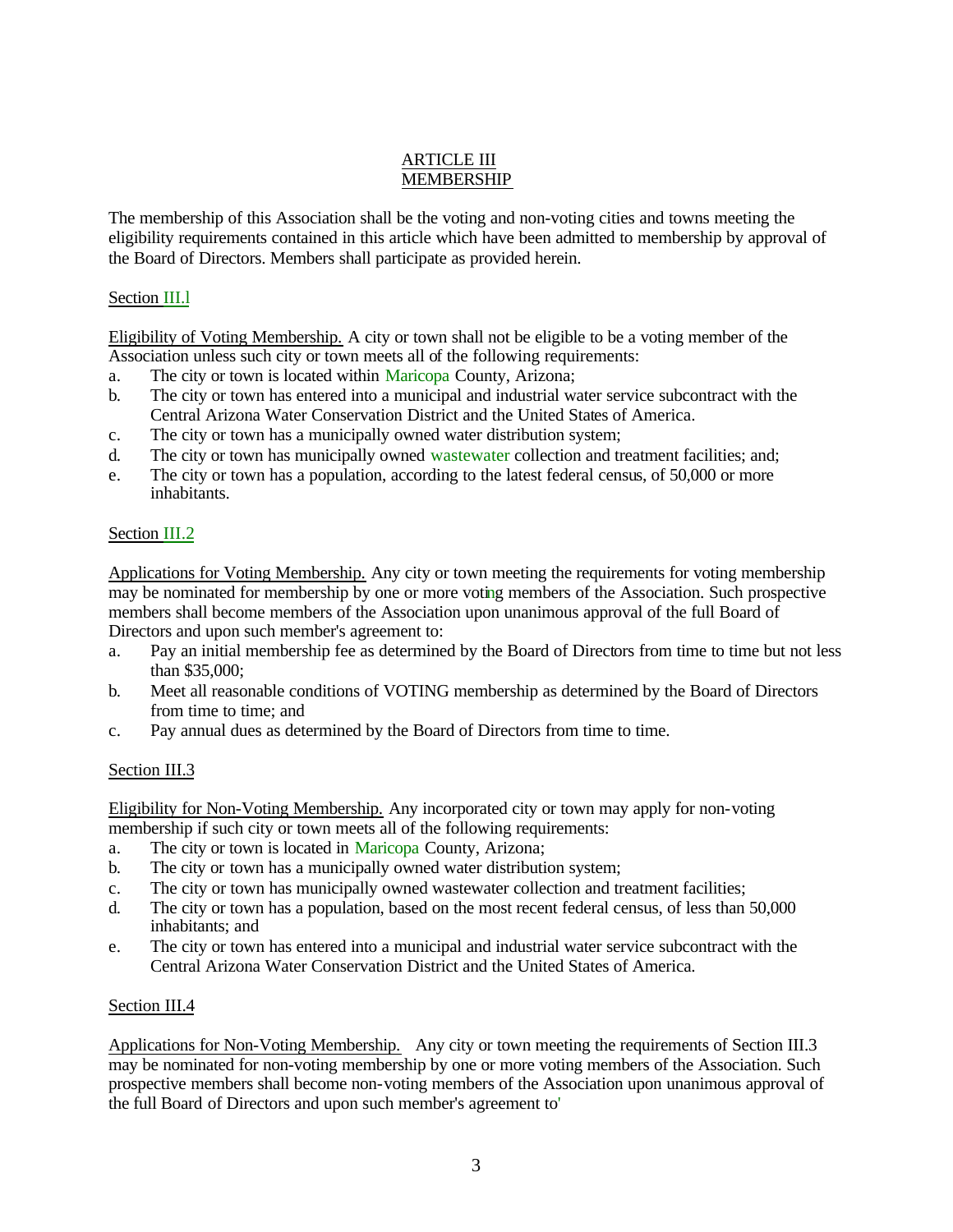## ARTICLE III MEMBERSHIP

The membership of this Association shall be the voting and non-voting cities and towns meeting the eligibility requirements contained in this article which have been admitted to membership by approval of the Board of Directors. Members shall participate as provided herein.

## Section III.l

Eligibility of Voting Membership. A city or town shall not be eligible to be a voting member of the Association unless such city or town meets all of the following requirements:

- a. The city or town is located within Maricopa County, Arizona;
- b. The city or town has entered into a municipal and industrial water service subcontract with the Central Arizona Water Conservation District and the United States of America.
- c. The city or town has a municipally owned water distribution system;
- d. The city or town has municipally owned wastewater collection and treatment facilities; and;
- e. The city or town has a population, according to the latest federal census, of 50,000 or more inhabitants.

## Section III.2

Applications for Voting Membership. Any city or town meeting the requirements for voting membership may be nominated for membership by one or more voting members of the Association. Such prospective members shall become members of the Association upon unanimous approval of the full Board of Directors and upon such member's agreement to:

- a. Pay an initial membership fee as determined by the Board of Directors from time to time but not less than \$35,000;
- b. Meet all reasonable conditions of VOTING membership as determined by the Board of Directors from time to time; and
- c. Pay annual dues as determined by the Board of Directors from time to time.

# Section III.3

Eligibility for Non-Voting Membership. Any incorporated city or town may apply for non-voting membership if such city or town meets all of the following requirements:

- a. The city or town is located in Maricopa County, Arizona;
- b. The city or town has a municipally owned water distribution system;
- c. The city or town has municipally owned wastewater collection and treatment facilities;
- d. The city or town has a population, based on the most recent federal census, of less than 50,000 inhabitants; and
- e. The city or town has entered into a municipal and industrial water service subcontract with the Central Arizona Water Conservation District and the United States of America.

# Section III.4

Applications for Non-Voting Membership. Any city or town meeting the requirements of Section III.3 may be nominated for non-voting membership by one or more voting members of the Association. Such prospective members shall become non-voting members of the Association upon unanimous approval of the full Board of Directors and upon such member's agreement to'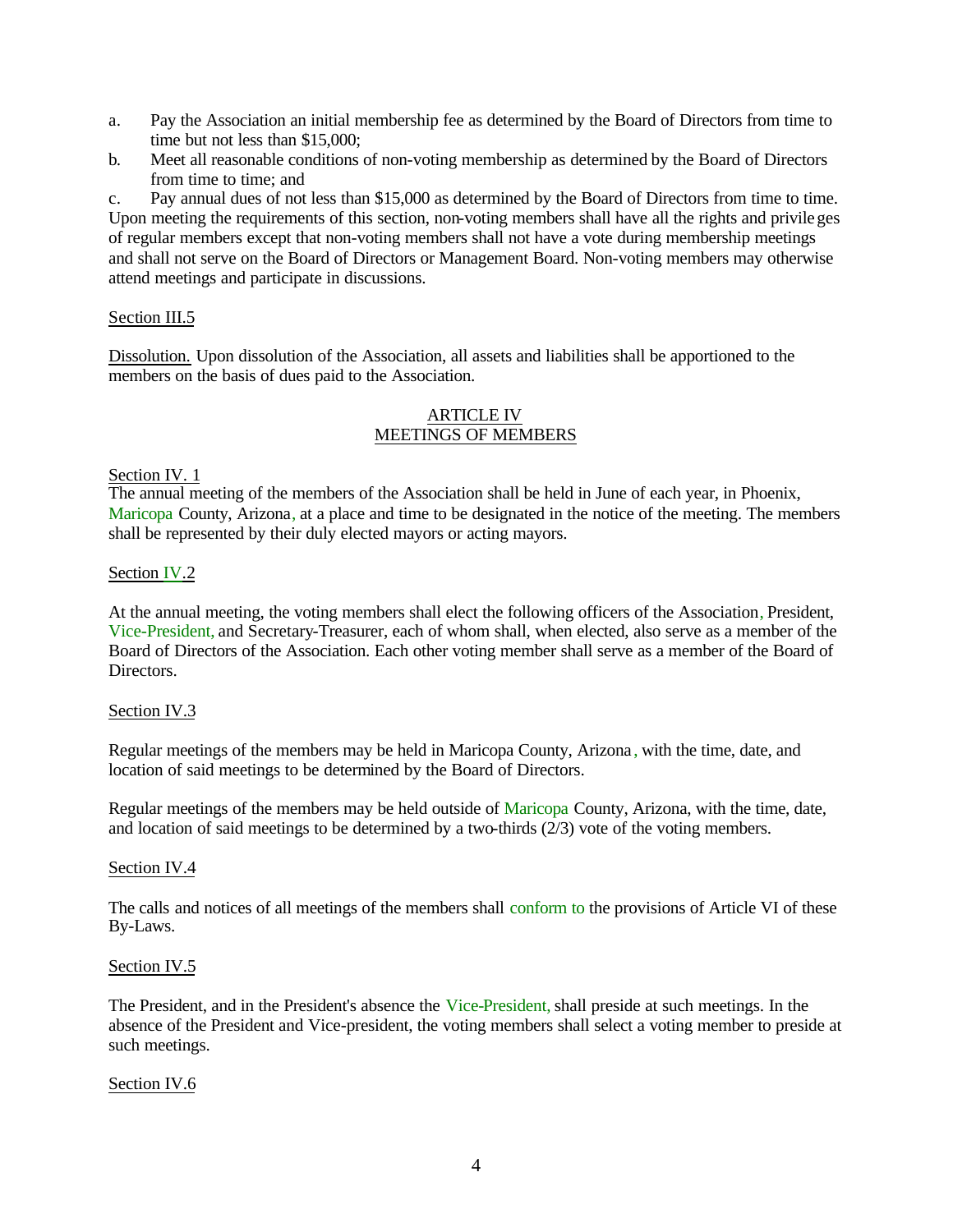- a. Pay the Association an initial membership fee as determined by the Board of Directors from time to time but not less than \$15,000;
- b. Meet all reasonable conditions of non-voting membership as determined by the Board of Directors from time to time; and

c. Pay annual dues of not less than \$15,000 as determined by the Board of Directors from time to time. Upon meeting the requirements of this section, non-voting members shall have all the rights and privileges of regular members except that non-voting members shall not have a vote during membership meetings and shall not serve on the Board of Directors or Management Board. Non-voting members may otherwise attend meetings and participate in discussions.

# Section III.5

Dissolution. Upon dissolution of the Association, all assets and liabilities shall be apportioned to the members on the basis of dues paid to the Association.

## ARTICLE IV MEETINGS OF MEMBERS

## Section IV. 1

The annual meeting of the members of the Association shall be held in June of each year, in Phoenix, Maricopa County, Arizona, at a place and time to be designated in the notice of the meeting. The members shall be represented by their duly elected mayors or acting mayors.

## Section IV.2

At the annual meeting, the voting members shall elect the following officers of the Association, President, Vice-President, and Secretary-Treasurer, each of whom shall, when elected, also serve as a member of the Board of Directors of the Association. Each other voting member shall serve as a member of the Board of Directors.

## Section IV.3

Regular meetings of the members may be held in Maricopa County, Arizona , with the time, date, and location of said meetings to be determined by the Board of Directors.

Regular meetings of the members may be held outside of Maricopa County, Arizona, with the time, date, and location of said meetings to be determined by a two-thirds (2/3) vote of the voting members.

## Section IV.4

The calls and notices of all meetings of the members shall conform to the provisions of Article VI of these By-Laws.

## Section IV.5

The President, and in the President's absence the Vice-President, shall preside at such meetings. In the absence of the President and Vice-president, the voting members shall select a voting member to preside at such meetings.

## Section IV.6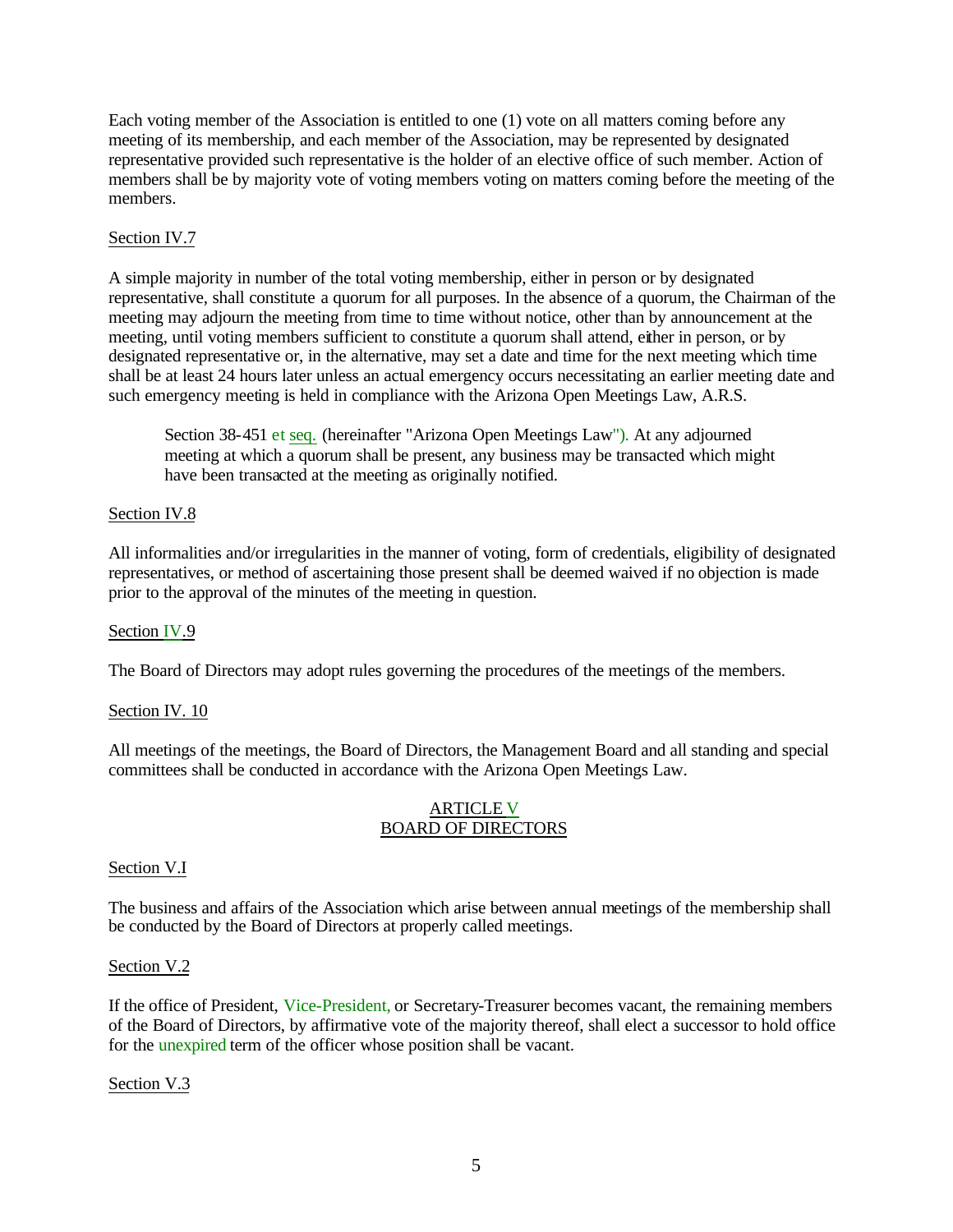Each voting member of the Association is entitled to one (1) vote on all matters coming before any meeting of its membership, and each member of the Association, may be represented by designated representative provided such representative is the holder of an elective office of such member. Action of members shall be by majority vote of voting members voting on matters coming before the meeting of the members.

## Section IV.7

A simple majority in number of the total voting membership, either in person or by designated representative, shall constitute a quorum for all purposes. In the absence of a quorum, the Chairman of the meeting may adjourn the meeting from time to time without notice, other than by announcement at the meeting, until voting members sufficient to constitute a quorum shall attend, either in person, or by designated representative or, in the alternative, may set a date and time for the next meeting which time shall be at least 24 hours later unless an actual emergency occurs necessitating an earlier meeting date and such emergency meeting is held in compliance with the Arizona Open Meetings Law, A.R.S.

Section 38-451 et seq. (hereinafter "Arizona Open Meetings Law"). At any adjourned meeting at which a quorum shall be present, any business may be transacted which might have been transacted at the meeting as originally notified.

## Section IV.8

All informalities and/or irregularities in the manner of voting, form of credentials, eligibility of designated representatives, or method of ascertaining those present shall be deemed waived if no objection is made prior to the approval of the minutes of the meeting in question.

## Section IV.9

The Board of Directors may adopt rules governing the procedures of the meetings of the members.

## Section IV. 10

All meetings of the meetings, the Board of Directors, the Management Board and all standing and special committees shall be conducted in accordance with the Arizona Open Meetings Law.

## ARTICLE V BOARD OF DIRECTORS

## Section V.I

The business and affairs of the Association which arise between annual meetings of the membership shall be conducted by the Board of Directors at properly called meetings.

## Section V.2

If the office of President, Vice-President, or Secretary-Treasurer becomes vacant, the remaining members of the Board of Directors, by affirmative vote of the majority thereof, shall elect a successor to hold office for the unexpired term of the officer whose position shall be vacant.

## Section V.3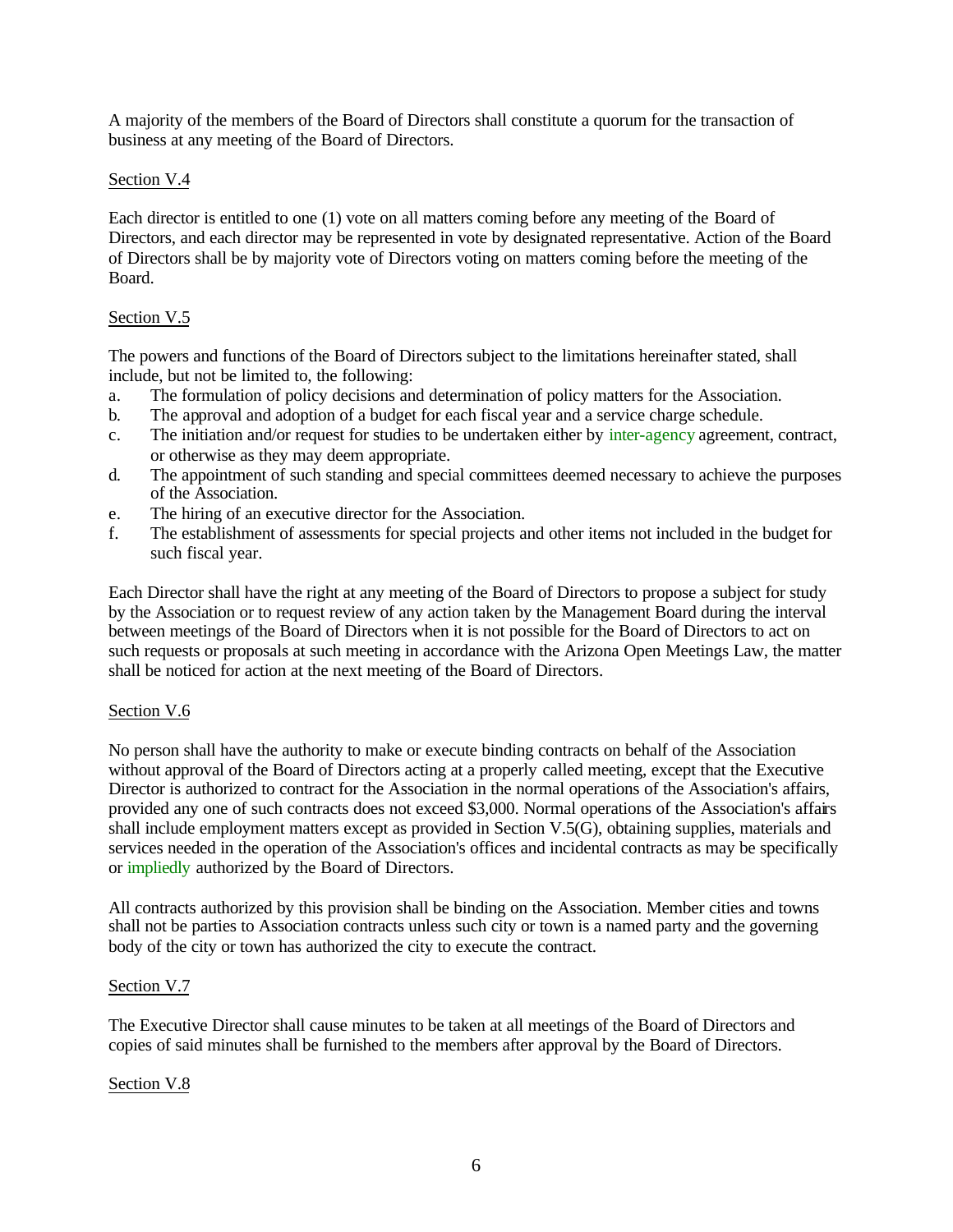A majority of the members of the Board of Directors shall constitute a quorum for the transaction of business at any meeting of the Board of Directors.

## Section V.4

Each director is entitled to one (1) vote on all matters coming before any meeting of the Board of Directors, and each director may be represented in vote by designated representative. Action of the Board of Directors shall be by majority vote of Directors voting on matters coming before the meeting of the Board.

## Section V.5

The powers and functions of the Board of Directors subject to the limitations hereinafter stated, shall include, but not be limited to, the following:

- a. The formulation of policy decisions and determination of policy matters for the Association.
- b. The approval and adoption of a budget for each fiscal year and a service charge schedule.
- c. The initiation and/or request for studies to be undertaken either by inter-agency agreement, contract, or otherwise as they may deem appropriate.
- d. The appointment of such standing and special committees deemed necessary to achieve the purposes of the Association.
- e. The hiring of an executive director for the Association.
- f. The establishment of assessments for special projects and other items not included in the budget for such fiscal year.

Each Director shall have the right at any meeting of the Board of Directors to propose a subject for study by the Association or to request review of any action taken by the Management Board during the interval between meetings of the Board of Directors when it is not possible for the Board of Directors to act on such requests or proposals at such meeting in accordance with the Arizona Open Meetings Law, the matter shall be noticed for action at the next meeting of the Board of Directors.

## Section V.6

No person shall have the authority to make or execute binding contracts on behalf of the Association without approval of the Board of Directors acting at a properly called meeting, except that the Executive Director is authorized to contract for the Association in the normal operations of the Association's affairs, provided any one of such contracts does not exceed \$3,000. Normal operations of the Association's affairs shall include employment matters except as provided in Section V.5(G), obtaining supplies, materials and services needed in the operation of the Association's offices and incidental contracts as may be specifically or impliedly authorized by the Board of Directors.

All contracts authorized by this provision shall be binding on the Association. Member cities and towns shall not be parties to Association contracts unless such city or town is a named party and the governing body of the city or town has authorized the city to execute the contract.

## Section V.7

The Executive Director shall cause minutes to be taken at all meetings of the Board of Directors and copies of said minutes shall be furnished to the members after approval by the Board of Directors.

## Section V.8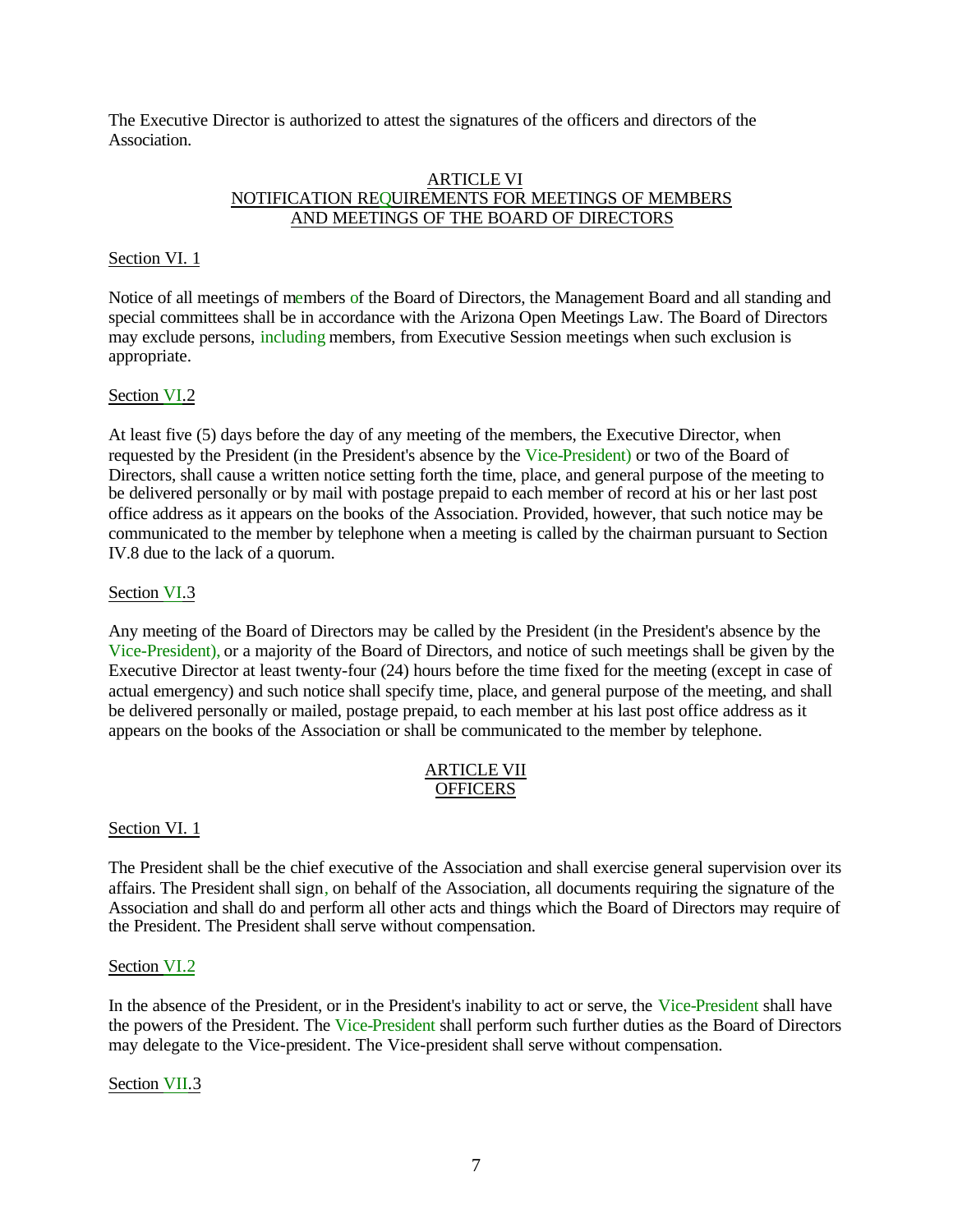The Executive Director is authorized to attest the signatures of the officers and directors of the Association.

### ARTICLE VI NOTIFICATION REQUIREMENTS FOR MEETINGS OF MEMBERS AND MEETINGS OF THE BOARD OF DIRECTORS

## Section VI. 1

Notice of all meetings of members of the Board of Directors, the Management Board and all standing and special committees shall be in accordance with the Arizona Open Meetings Law. The Board of Directors may exclude persons, including members, from Executive Session meetings when such exclusion is appropriate.

## Section VI.2

At least five (5) days before the day of any meeting of the members, the Executive Director, when requested by the President (in the President's absence by the Vice-President) or two of the Board of Directors, shall cause a written notice setting forth the time, place, and general purpose of the meeting to be delivered personally or by mail with postage prepaid to each member of record at his or her last post office address as it appears on the books of the Association. Provided, however, that such notice may be communicated to the member by telephone when a meeting is called by the chairman pursuant to Section IV.8 due to the lack of a quorum.

## Section VI.3

Any meeting of the Board of Directors may be called by the President (in the President's absence by the Vice-President), or a majority of the Board of Directors, and notice of such meetings shall be given by the Executive Director at least twenty-four (24) hours before the time fixed for the meeting (except in case of actual emergency) and such notice shall specify time, place, and general purpose of the meeting, and shall be delivered personally or mailed, postage prepaid, to each member at his last post office address as it appears on the books of the Association or shall be communicated to the member by telephone.

### ARTICLE VII **OFFICERS**

## Section VI. 1

The President shall be the chief executive of the Association and shall exercise general supervision over its affairs. The President shall sign, on behalf of the Association, all documents requiring the signature of the Association and shall do and perform all other acts and things which the Board of Directors may require of the President. The President shall serve without compensation.

## Section VI.2

In the absence of the President, or in the President's inability to act or serve, the Vice-President shall have the powers of the President. The Vice-President shall perform such further duties as the Board of Directors may delegate to the Vice-president. The Vice-president shall serve without compensation.

Section VII.3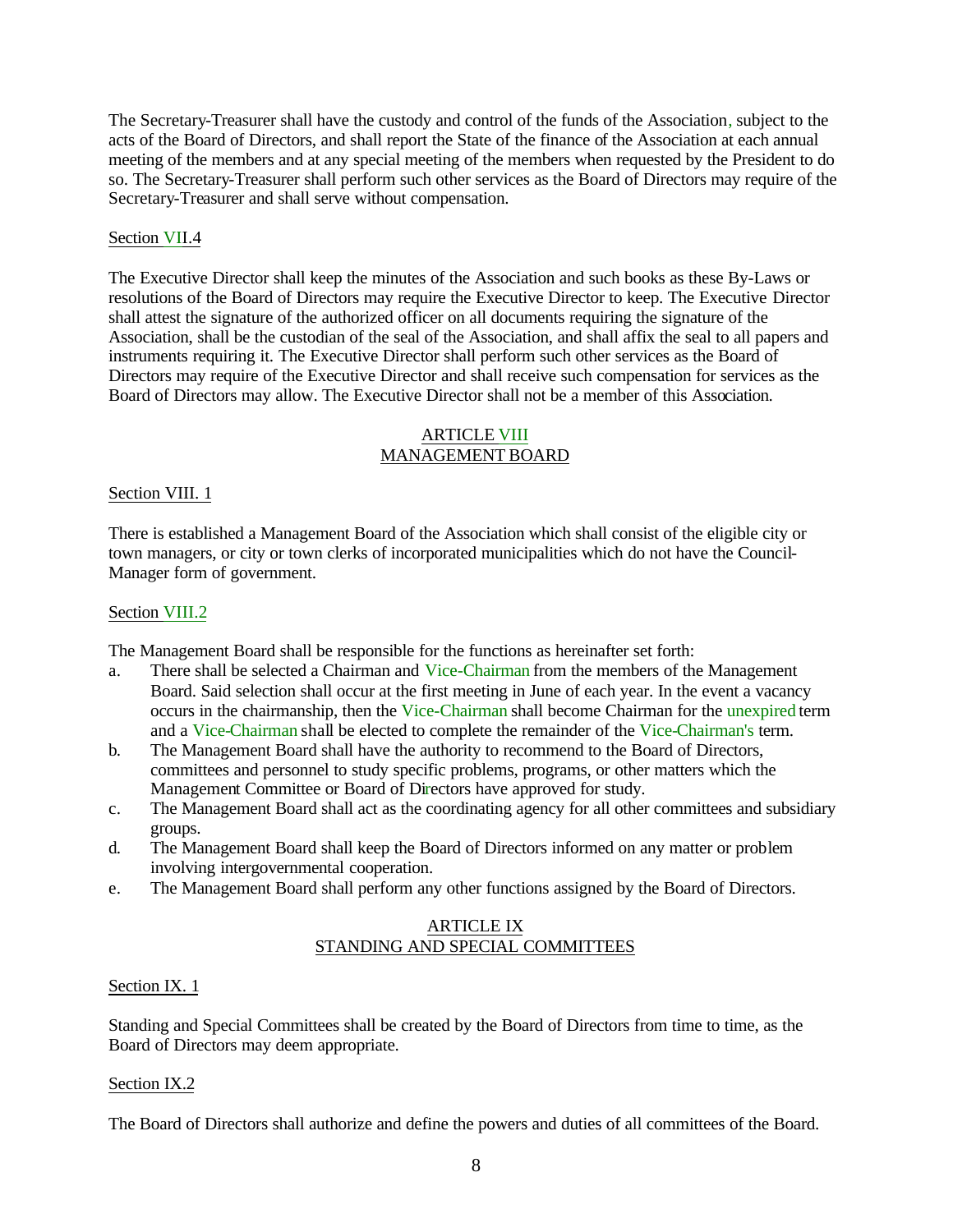The Secretary-Treasurer shall have the custody and control of the funds of the Association, subject to the acts of the Board of Directors, and shall report the State of the finance of the Association at each annual meeting of the members and at any special meeting of the members when requested by the President to do so. The Secretary-Treasurer shall perform such other services as the Board of Directors may require of the Secretary-Treasurer and shall serve without compensation.

## Section VII.4

The Executive Director shall keep the minutes of the Association and such books as these By-Laws or resolutions of the Board of Directors may require the Executive Director to keep. The Executive Director shall attest the signature of the authorized officer on all documents requiring the signature of the Association, shall be the custodian of the seal of the Association, and shall affix the seal to all papers and instruments requiring it. The Executive Director shall perform such other services as the Board of Directors may require of the Executive Director and shall receive such compensation for services as the Board of Directors may allow. The Executive Director shall not be a member of this Association.

### ARTICLE VIII MANAGEMENT BOARD

## Section VIII. 1

There is established a Management Board of the Association which shall consist of the eligible city or town managers, or city or town clerks of incorporated municipalities which do not have the Council-Manager form of government.

## Section VIII.2

The Management Board shall be responsible for the functions as hereinafter set forth:

- a. There shall be selected a Chairman and Vice-Chairman from the members of the Management Board. Said selection shall occur at the first meeting in June of each year. In the event a vacancy occurs in the chairmanship, then the Vice-Chairman shall become Chairman for the unexpired term and a Vice-Chairman shall be elected to complete the remainder of the Vice-Chairman's term.
- b. The Management Board shall have the authority to recommend to the Board of Directors, committees and personnel to study specific problems, programs, or other matters which the Management Committee or Board of Directors have approved for study.
- c. The Management Board shall act as the coordinating agency for all other committees and subsidiary groups.
- d. The Management Board shall keep the Board of Directors informed on any matter or problem involving intergovernmental cooperation.
- e. The Management Board shall perform any other functions assigned by the Board of Directors.

## ARTICLE IX STANDING AND SPECIAL COMMITTEES

## Section IX. 1

Standing and Special Committees shall be created by the Board of Directors from time to time, as the Board of Directors may deem appropriate.

## Section IX.2

The Board of Directors shall authorize and define the powers and duties of all committees of the Board.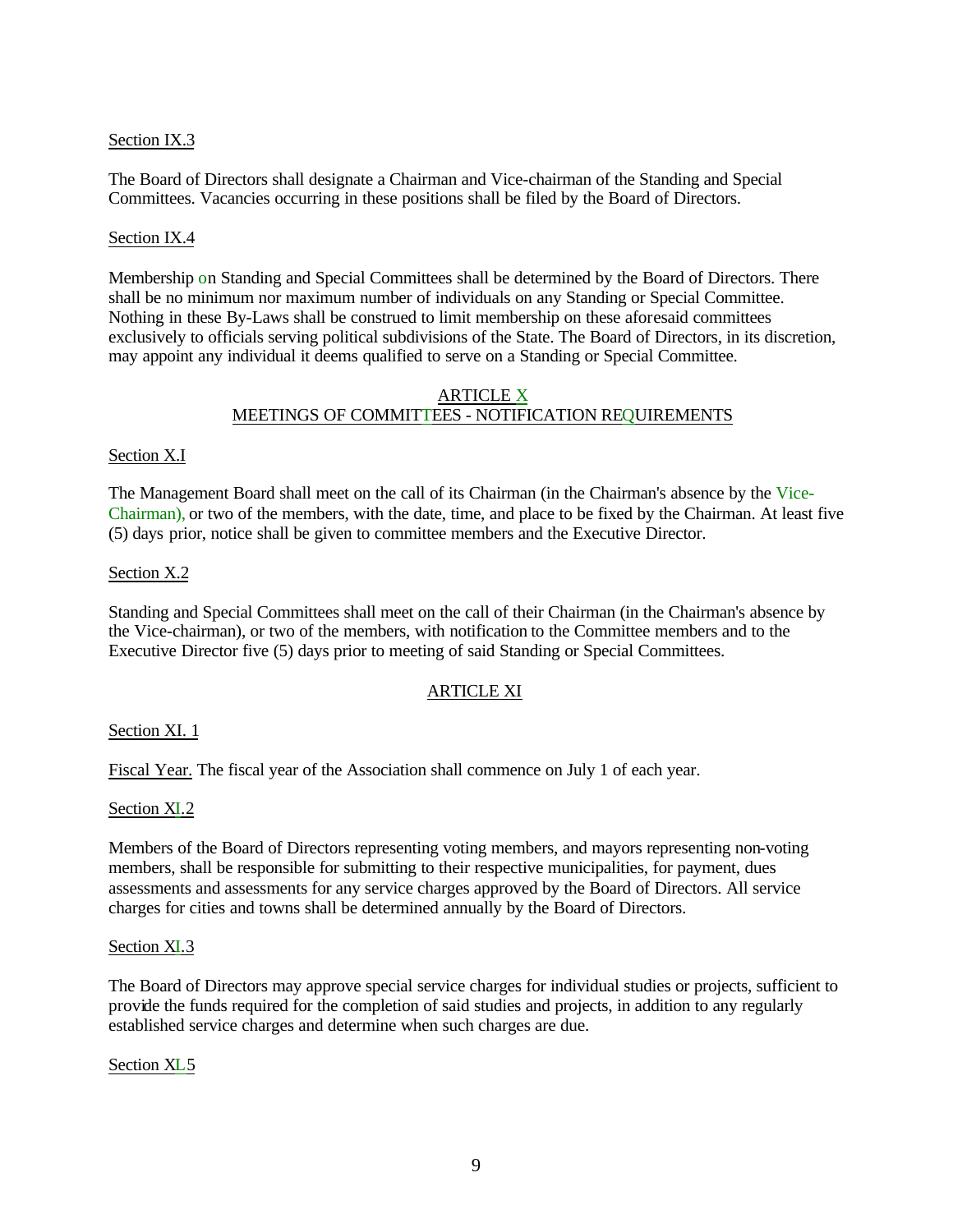## Section IX.3

The Board of Directors shall designate a Chairman and Vice-chairman of the Standing and Special Committees. Vacancies occurring in these positions shall be filed by the Board of Directors.

### Section IX.4

Membership on Standing and Special Committees shall be determined by the Board of Directors. There shall be no minimum nor maximum number of individuals on any Standing or Special Committee. Nothing in these By-Laws shall be construed to limit membership on these aforesaid committees exclusively to officials serving political subdivisions of the State. The Board of Directors, in its discretion, may appoint any individual it deems qualified to serve on a Standing or Special Committee.

### ARTICLE X MEETINGS OF COMMITTEES - NOTIFICATION REQUIREMENTS

### Section X.I

The Management Board shall meet on the call of its Chairman (in the Chairman's absence by the Vice-Chairman), or two of the members, with the date, time, and place to be fixed by the Chairman. At least five (5) days prior, notice shall be given to committee members and the Executive Director.

### Section X.2

Standing and Special Committees shall meet on the call of their Chairman (in the Chairman's absence by the Vice-chairman), or two of the members, with notification to the Committee members and to the Executive Director five (5) days prior to meeting of said Standing or Special Committees.

## ARTICLE XI

## Section XI. 1

Fiscal Year. The fiscal year of the Association shall commence on July 1 of each year.

## Section XI.2

Members of the Board of Directors representing voting members, and mayors representing non-voting members, shall be responsible for submitting to their respective municipalities, for payment, dues assessments and assessments for any service charges approved by the Board of Directors. All service charges for cities and towns shall be determined annually by the Board of Directors.

#### Section XI.3

The Board of Directors may approve special service charges for individual studies or projects, sufficient to provide the funds required for the completion of said studies and projects, in addition to any regularly established service charges and determine when such charges are due.

## Section XL5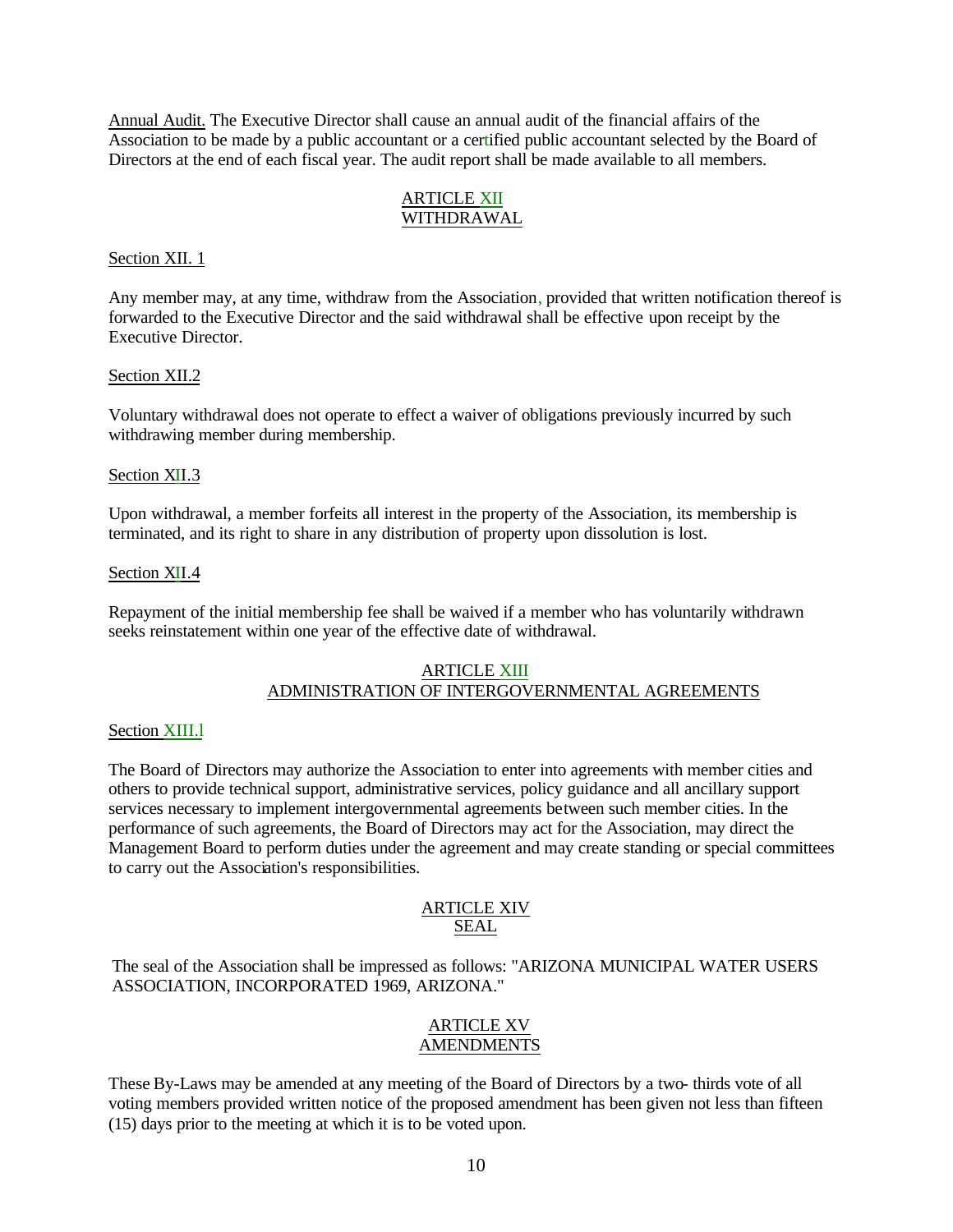Annual Audit. The Executive Director shall cause an annual audit of the financial affairs of the Association to be made by a public accountant or a certified public accountant selected by the Board of Directors at the end of each fiscal year. The audit report shall be made available to all members.

# ARTICLE XII WITHDRAWAL

## Section XII. 1

Any member may, at any time, withdraw from the Association, provided that written notification thereof is forwarded to the Executive Director and the said withdrawal shall be effective upon receipt by the Executive Director.

## Section XII.2

Voluntary withdrawal does not operate to effect a waiver of obligations previously incurred by such withdrawing member during membership.

## Section XII.3

Upon withdrawal, a member forfeits all interest in the property of the Association, its membership is terminated, and its right to share in any distribution of property upon dissolution is lost.

## Section XII.4

Repayment of the initial membership fee shall be waived if a member who has voluntarily withdrawn seeks reinstatement within one year of the effective date of withdrawal.

## ARTICLE XIII ADMINISTRATION OF INTERGOVERNMENTAL AGREEMENTS

## Section XIII.l

The Board of Directors may authorize the Association to enter into agreements with member cities and others to provide technical support, administrative services, policy guidance and all ancillary support services necessary to implement intergovernmental agreements between such member cities. In the performance of such agreements, the Board of Directors may act for the Association, may direct the Management Board to perform duties under the agreement and may create standing or special committees to carry out the Association's responsibilities.

### ARTICLE XIV SEAL

The seal of the Association shall be impressed as follows: "ARIZONA MUNICIPAL WATER USERS ASSOCIATION, INCORPORATED 1969, ARIZONA."

## ARTICLE XV **AMENDMENTS**

These By-Laws may be amended at any meeting of the Board of Directors by a two- thirds vote of all voting members provided written notice of the proposed amendment has been given not less than fifteen (15) days prior to the meeting at which it is to be voted upon.